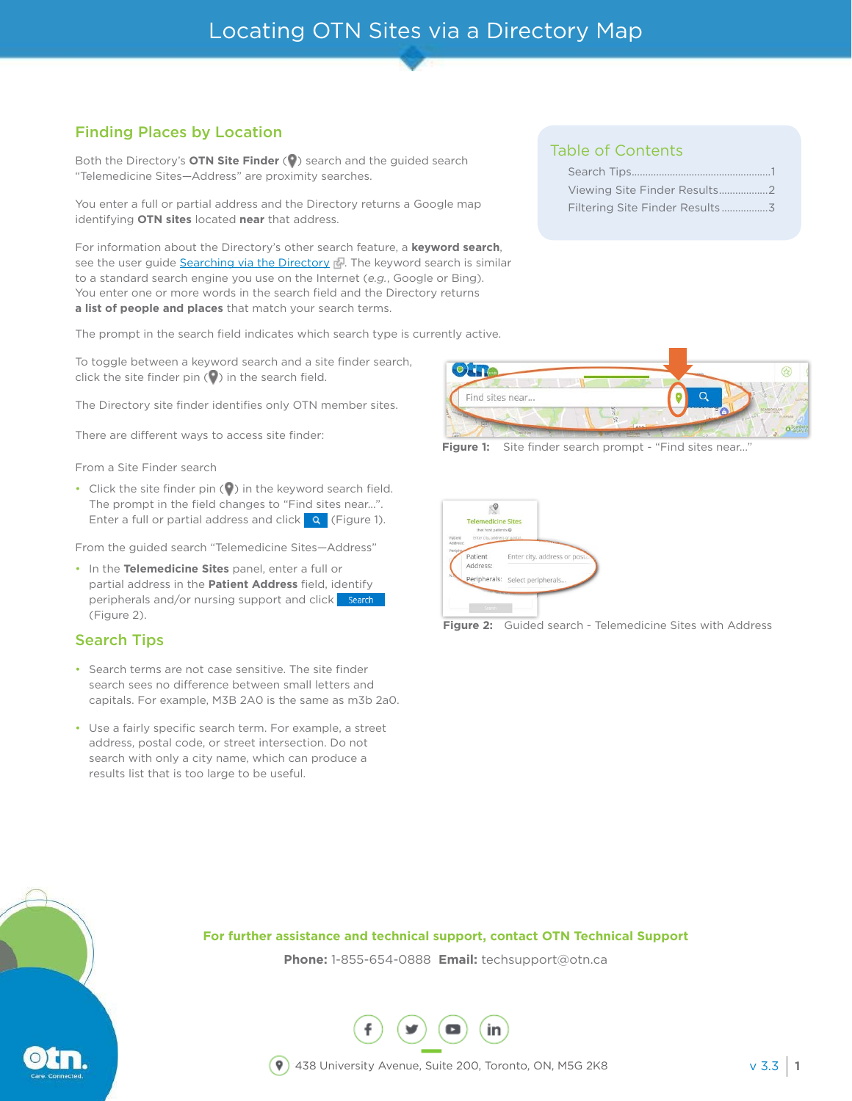## Finding Places by Location

Both the Directory's **OTN Site Finder** ( $\bullet$ ) search and the guided search "Telemedicine Sites—Address" are proximity searches.

You enter a full or partial address and the Directory returns a Google map identifying **OTN sites** located **near** that address.

For information about the Directory's other search feature, a **keyword search**, see the user guide [Searching via the Directory](https://dropbox.otn.ca/directory-help/otn-dir-search.pdf)  $\mathbb{R}$ . The keyword search is similar to a standard search engine you use on the Internet (*e.g.*, Google or Bing). You enter one or more words in the search field and the Directory returns **a list of people and places** that match your search terms.

The prompt in the search field indicates which search type is currently active.

To toggle between a keyword search and a site finder search, click the site finder pin  $(Q)$  in the search field.

The Directory site finder identifies only OTN member sites.

There are different ways to access site finder:

From a Site Finder search

 $\cdot$  Click the site finder pin ( $\bullet$ ) in the keyword search field. The prompt in the field changes to "Find sites near...". Enter a full or partial address and click  $\begin{bmatrix} 9 \\ 1 \end{bmatrix}$  [\(Figure 1\)](#page-0-0).

From the guided search "Telemedicine Sites—Address"

• In the **Telemedicine Sites** panel, enter a full or partial address in the **Patient Address** field, identify peripherals and/or nursing support and click search [\(Figure 2](#page-0-1)).

### Search Tips

- • Search terms are not case sensitive. The site finder search sees no difference between small letters and capitals. For example, M3B 2A0 is the same as m3b 2a0.
- Use a fairly specific search term. For example, a street address, postal code, or street intersection. Do not search with only a city name, which can produce a results list that is too large to be useful.

### Table of Contents

| Viewing Site Finder Results2   |
|--------------------------------|
| Filtering Site Finder Results3 |



Figure 1: Site finder search prompt - "Find sites near..."

<span id="page-0-1"></span><span id="page-0-0"></span>

**Figure 2:** Guided search - Telemedicine Sites with Address



**Phone:** 1-855-654-0888 **Email:** techsupport@otn.ca

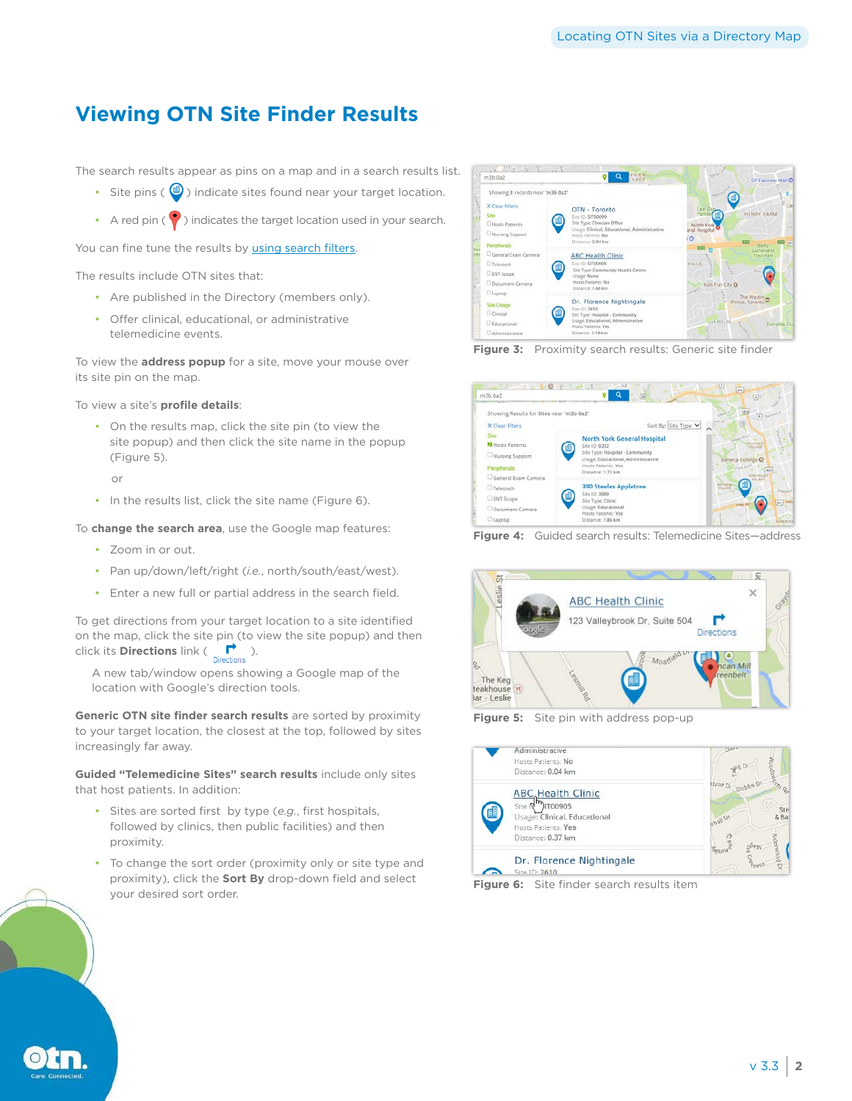## <span id="page-1-0"></span>**Viewing OTN Site Finder Results**

The search results appear as pins on a map and in a search results list.

- Site pins ( $\bigcirc$ ) indicate sites found near your target location.
- A red pin  $\binom{1}{k}$  indicates the target location used in your search.

You can fine tune the results by [using search filters](#page-2-1).

The results include OTN sites that:

- Are published in the Directory (members only).
- • Offer clinical, educational, or administrative telemedicine events.

To view the **address popup** for a site, move your mouse over its site pin on the map.

To view a site's **profile details**:

• On the results map, click the site pin (to view the site popup) and then click the site name in the popup [\(Figure 5](#page-1-1)).

or

• In the results list, click the site name ([Figure 6\)](#page-1-2).

To **change the search area**, use the Google map features:

- • Zoom in or out.
- • Pan up/down/left/right (*i.e.*, north/south/east/west).
- • Enter a new full or partial address in the search field.

To get directions from your target location to a site identified on the map, click the site pin (to view the site popup) and then click its **Directions** link ( $\sum_{\text{Directions}}$ ).

A new tab/window opens showing a Google map of the location with Google's direction tools.

**Generic OTN site finder search results** are sorted by proximity to your target location, the closest at the top, followed by sites increasingly far away.

**Guided "Telemedicine Sites" search results** include only sites that host patients. In addition:

- • Sites are sorted first by type (*e.g.*, first hospitals, followed by clinics, then public facilities) and then proximity.
- To change the sort order (proximity only or site type and proximity), click the **Sort By** drop-down field and select your desired sort order.







**Figure 4:** Guided search results: Telemedicine Sites—address



<span id="page-1-1"></span>**Figure 5:** Site pin with address pop-up



<span id="page-1-2"></span>**Figure 6:** Site finder search results item